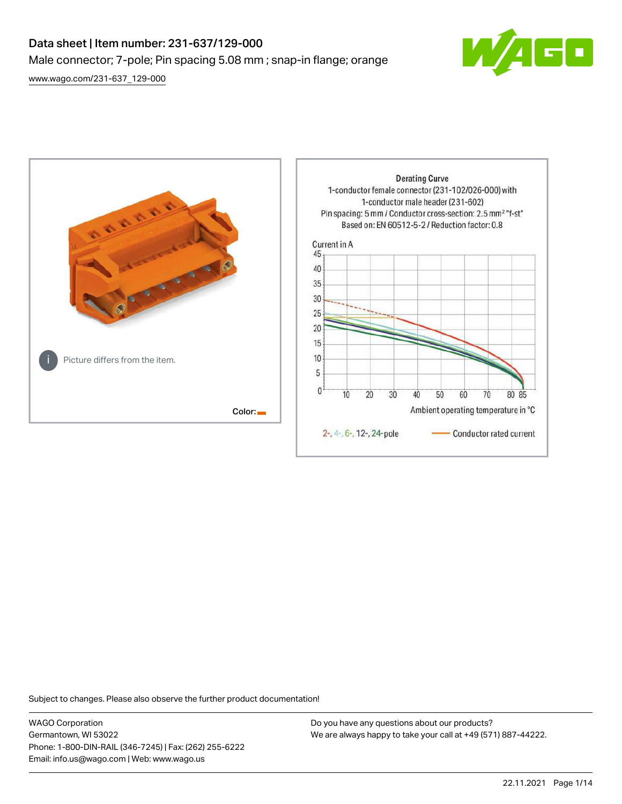# Data sheet | Item number: 231-637/129-000 Male connector; 7-pole; Pin spacing 5.08 mm ; snap-in flange; orange [www.wago.com/231-637\\_129-000](http://www.wago.com/231-637_129-000)





Subject to changes. Please also observe the further product documentation!

WAGO Corporation Germantown, WI 53022 Phone: 1-800-DIN-RAIL (346-7245) | Fax: (262) 255-6222 Email: info.us@wago.com | Web: www.wago.us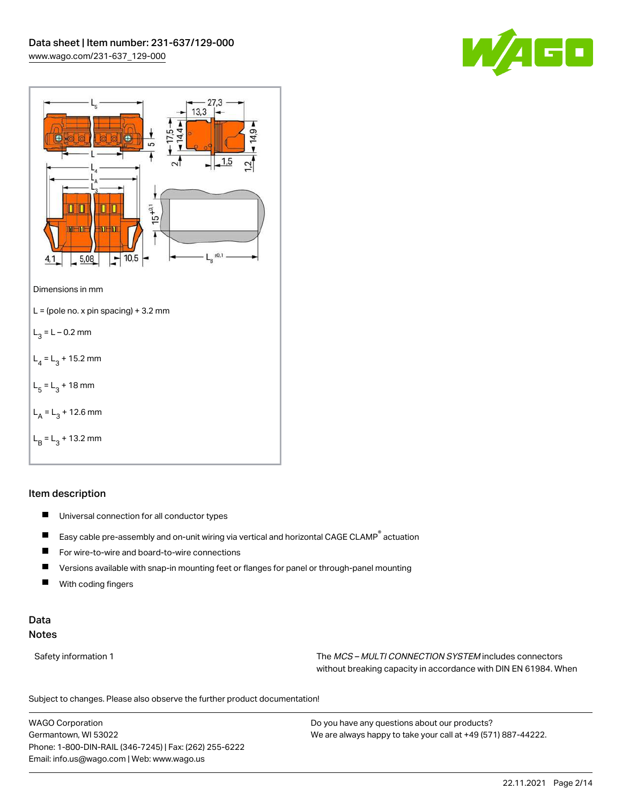



### Item description

- $\blacksquare$ Universal connection for all conductor types
- $\blacksquare$ Easy cable pre-assembly and on-unit wiring via vertical and horizontal CAGE CLAMP® actuation
- $\blacksquare$ For wire-to-wire and board-to-wire connections
- $\blacksquare$ Versions available with snap-in mounting feet or flanges for panel or through-panel mounting
- П With coding fingers

# Data Notes

Safety information 1 The MCS – MULTI CONNECTION SYSTEM includes connectors without breaking capacity in accordance with DIN EN 61984. When

Subject to changes. Please also observe the further product documentation!  $\mathbf{u}$ 

WAGO Corporation Germantown, WI 53022 Phone: 1-800-DIN-RAIL (346-7245) | Fax: (262) 255-6222 Email: info.us@wago.com | Web: www.wago.us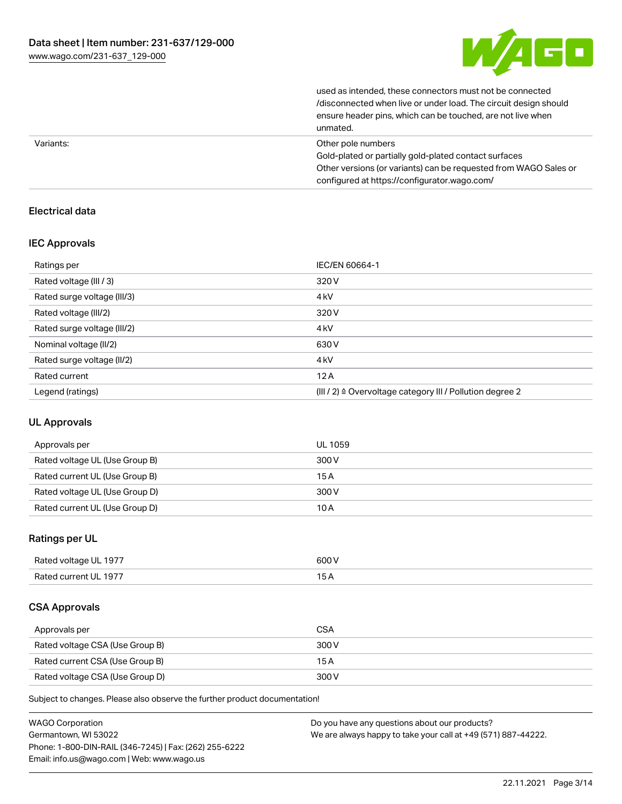

| unmated.                                                         |
|------------------------------------------------------------------|
| ensure header pins, which can be touched, are not live when      |
| /disconnected when live or under load. The circuit design should |
| used as intended, these connectors must not be connected         |

| Variants: | Other pole numbers                                               |
|-----------|------------------------------------------------------------------|
|           | Gold-plated or partially gold-plated contact surfaces            |
|           | Other versions (or variants) can be requested from WAGO Sales or |
|           | configured at https://configurator.wago.com/                     |

# Electrical data

## IEC Approvals

| Ratings per                 | IEC/EN 60664-1                                                       |
|-----------------------------|----------------------------------------------------------------------|
| Rated voltage (III / 3)     | 320 V                                                                |
| Rated surge voltage (III/3) | 4 <sub>kV</sub>                                                      |
| Rated voltage (III/2)       | 320 V                                                                |
| Rated surge voltage (III/2) | 4 <sub>kV</sub>                                                      |
| Nominal voltage (II/2)      | 630 V                                                                |
| Rated surge voltage (II/2)  | 4 <sub>k</sub> V                                                     |
| Rated current               | 12A                                                                  |
| Legend (ratings)            | (III / 2) $\triangleq$ Overvoltage category III / Pollution degree 2 |

## UL Approvals

| Approvals per                  | UL 1059 |
|--------------------------------|---------|
| Rated voltage UL (Use Group B) | 300 V   |
| Rated current UL (Use Group B) | 15 A    |
| Rated voltage UL (Use Group D) | 300 V   |
| Rated current UL (Use Group D) | 10 A    |

# Ratings per UL

| Rated voltage UL 1977 | 600 V |
|-----------------------|-------|
| Rated current UL 1977 |       |

# CSA Approvals

| Approvals per                   | <b>CSA</b> |
|---------------------------------|------------|
| Rated voltage CSA (Use Group B) | 300 V      |
| Rated current CSA (Use Group B) | 15 A       |
| Rated voltage CSA (Use Group D) | 300 V      |

Subject to changes. Please also observe the further product documentation!

| <b>WAGO Corporation</b>                                | Do you have any questions about our products?                 |
|--------------------------------------------------------|---------------------------------------------------------------|
| Germantown, WI 53022                                   | We are always happy to take your call at +49 (571) 887-44222. |
| Phone: 1-800-DIN-RAIL (346-7245)   Fax: (262) 255-6222 |                                                               |
| Email: info.us@wago.com   Web: www.wago.us             |                                                               |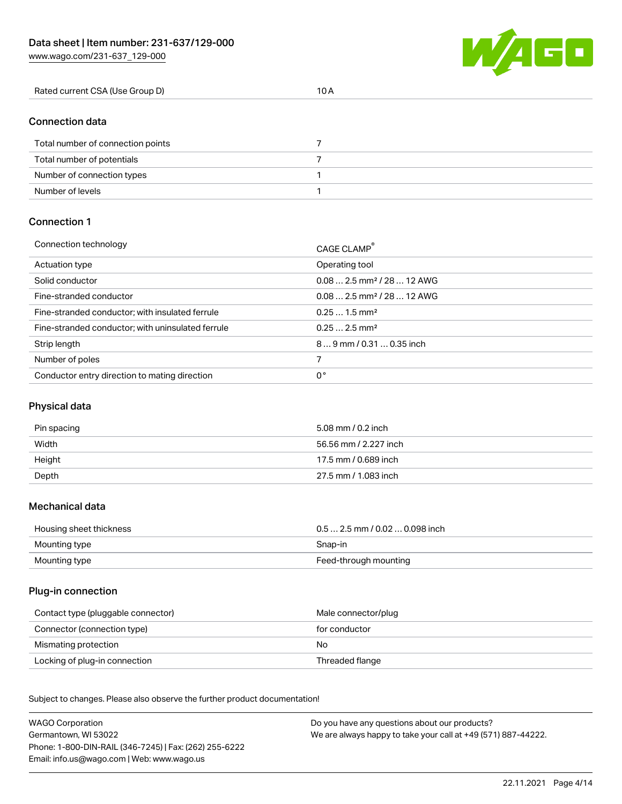Number of levels 1

[www.wago.com/231-637\\_129-000](http://www.wago.com/231-637_129-000)



| Rated current CSA (Use Group D)   | 10A |  |
|-----------------------------------|-----|--|
|                                   |     |  |
| <b>Connection data</b>            |     |  |
| Total number of connection points |     |  |
| Total number of potentials        |     |  |
| Number of connection types        |     |  |

### Connection 1

| Connection technology                             | CAGE CLAMP®                             |
|---------------------------------------------------|-----------------------------------------|
| Actuation type                                    | Operating tool                          |
| Solid conductor                                   | $0.08$ 2.5 mm <sup>2</sup> / 28  12 AWG |
| Fine-stranded conductor                           | $0.082.5$ mm <sup>2</sup> / 28  12 AWG  |
| Fine-stranded conductor; with insulated ferrule   | $0.251.5$ mm <sup>2</sup>               |
| Fine-stranded conductor; with uninsulated ferrule | $0.252.5$ mm <sup>2</sup>               |
| Strip length                                      | 89 mm / 0.31  0.35 inch                 |
| Number of poles                                   |                                         |
| Conductor entry direction to mating direction     | 0°                                      |

# Physical data

| Pin spacing | 5.08 mm / 0.2 inch    |
|-------------|-----------------------|
| Width       | 56.56 mm / 2.227 inch |
| Height      | 17.5 mm / 0.689 inch  |
| Depth       | 27.5 mm / 1.083 inch  |

#### Mechanical data

| Housing sheet thickness | $0.5$ 2.5 mm / 0.02  0.098 inch |
|-------------------------|---------------------------------|
| Mounting type           | Snap-in                         |
| Mounting type           | Feed-through mounting           |

### Plug-in connection

| Contact type (pluggable connector) | Male connector/plug |
|------------------------------------|---------------------|
| Connector (connection type)        | for conductor       |
| Mismating protection               | No                  |
| Locking of plug-in connection      | Threaded flange     |

Subject to changes. Please also observe the further product documentation! Material data

| <b>WAGO Corporation</b>                                | Do you have any questions about our products?                 |
|--------------------------------------------------------|---------------------------------------------------------------|
| Germantown, WI 53022                                   | We are always happy to take your call at +49 (571) 887-44222. |
| Phone: 1-800-DIN-RAIL (346-7245)   Fax: (262) 255-6222 |                                                               |
| Email: info.us@wago.com   Web: www.wago.us             |                                                               |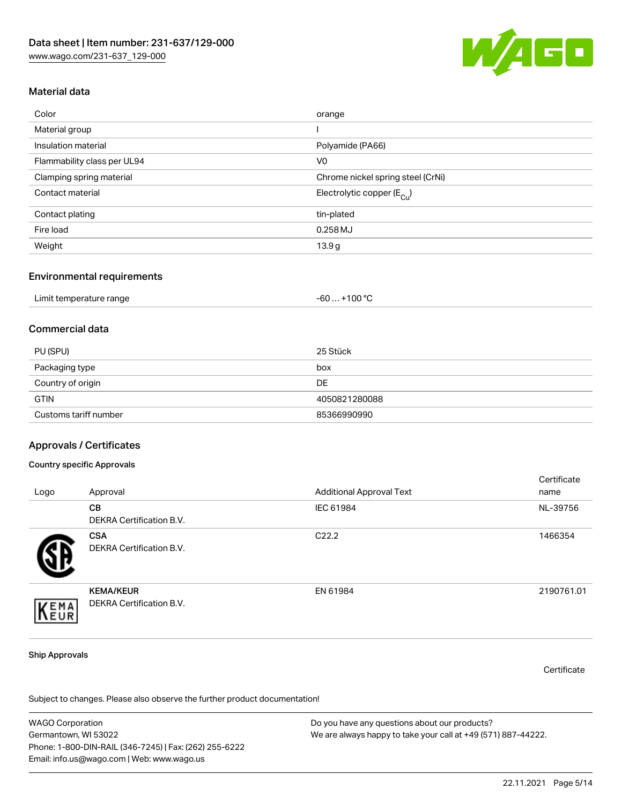

# Material data

| Color                       | orange                                 |
|-----------------------------|----------------------------------------|
| Material group              |                                        |
| Insulation material         | Polyamide (PA66)                       |
| Flammability class per UL94 | V <sub>0</sub>                         |
| Clamping spring material    | Chrome nickel spring steel (CrNi)      |
| Contact material            | Electrolytic copper (E <sub>Cu</sub> ) |
| Contact plating             | tin-plated                             |
| Fire load                   | 0.258 MJ                               |
| Weight                      | 13.9g                                  |

#### Environmental requirements

| Limit temperature range | . +100 ° <sup>∩</sup><br>-60 |
|-------------------------|------------------------------|
|-------------------------|------------------------------|

### Commercial data

| PU (SPU)              | 25 Stück      |
|-----------------------|---------------|
| Packaging type        | box           |
| Country of origin     | DE            |
| <b>GTIN</b>           | 4050821280088 |
| Customs tariff number | 85366990990   |

### Approvals / Certificates

#### Country specific Approvals

| Logo | Approval                                     | <b>Additional Approval Text</b> | Certificate<br>name |
|------|----------------------------------------------|---------------------------------|---------------------|
|      | <b>CB</b><br><b>DEKRA Certification B.V.</b> | IEC 61984                       | NL-39756            |
|      | <b>CSA</b><br>DEKRA Certification B.V.       | C <sub>22.2</sub>               | 1466354             |
| EMA  | <b>KEMA/KEUR</b><br>DEKRA Certification B.V. | EN 61984                        | 2190761.01          |

#### Ship Approvals

**Certificate** 

Subject to changes. Please also observe the further product documentation!

WAGO Corporation Germantown, WI 53022 Phone: 1-800-DIN-RAIL (346-7245) | Fax: (262) 255-6222 Email: info.us@wago.com | Web: www.wago.us Do you have any questions about our products? We are always happy to take your call at +49 (571) 887-44222.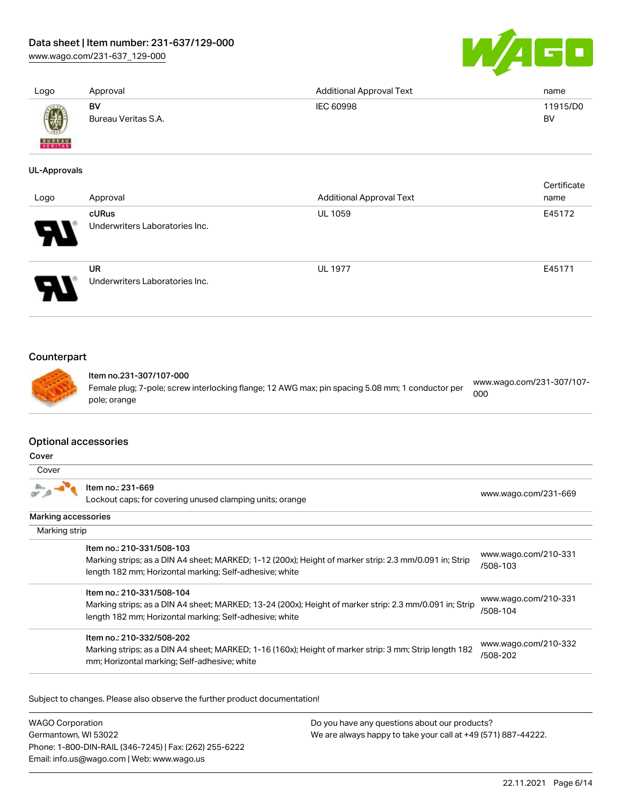[www.wago.com/231-637\\_129-000](http://www.wago.com/231-637_129-000)



| Logo                                 | Approval                                                                                                                                                                                        | <b>Additional Approval Text</b> | name                             |
|--------------------------------------|-------------------------------------------------------------------------------------------------------------------------------------------------------------------------------------------------|---------------------------------|----------------------------------|
|                                      | <b>BV</b><br>Bureau Veritas S.A.                                                                                                                                                                | <b>IEC 60998</b>                | 11915/D0<br><b>BV</b>            |
|                                      |                                                                                                                                                                                                 |                                 |                                  |
| <b>UL-Approvals</b>                  |                                                                                                                                                                                                 |                                 |                                  |
| Logo                                 | Approval                                                                                                                                                                                        | <b>Additional Approval Text</b> | Certificate<br>name              |
|                                      | cURus                                                                                                                                                                                           | UL 1059                         | E45172                           |
|                                      | Underwriters Laboratories Inc.                                                                                                                                                                  |                                 |                                  |
|                                      | <b>UR</b><br>Underwriters Laboratories Inc.                                                                                                                                                     | <b>UL 1977</b>                  | E45171                           |
| Counterpart                          | Item no.231-307/107-000<br>Female plug; 7-pole; screw interlocking flange; 12 AWG max; pin spacing 5.08 mm; 1 conductor per<br>pole; orange                                                     |                                 | www.wago.com/231-307/107-<br>000 |
| <b>Optional accessories</b><br>Cover |                                                                                                                                                                                                 |                                 |                                  |
| Cover                                |                                                                                                                                                                                                 |                                 |                                  |
|                                      | Item no.: 231-669<br>Lockout caps; for covering unused clamping units; orange                                                                                                                   |                                 | www.wago.com/231-669             |
| Marking accessories                  |                                                                                                                                                                                                 |                                 |                                  |
| Marking strip                        |                                                                                                                                                                                                 |                                 |                                  |
|                                      | Item no.: 210-331/508-103<br>Marking strips; as a DIN A4 sheet; MARKED; 1-12 (200x); Height of marker strip: 2.3 mm/0.091 in; Strip<br>length 182 mm; Horizontal marking; Self-adhesive; white  |                                 | www.wago.com/210-331<br>/508-103 |
|                                      | Item no.: 210-331/508-104<br>Marking strips; as a DIN A4 sheet; MARKED; 13-24 (200x); Height of marker strip: 2.3 mm/0.091 in; Strip<br>length 182 mm; Horizontal marking; Self-adhesive; white |                                 | www.wago.com/210-331<br>/508-104 |
|                                      | Item no.: 210-332/508-202                                                                                                                                                                       |                                 |                                  |

Marking strips; as a DIN A4 sheet; MARKED; 1-16 (160x); Height of marker strip: 3 mm; Strip length 182 mm; Horizontal marking; Self-adhesive; white [www.wago.com/210-332](http://www.wago.com/210-332/508-202) [/508-202](http://www.wago.com/210-332/508-202)

Subject to changes. Please also observe the further product documentation!

WAGO Corporation Germantown, WI 53022 Phone: 1-800-DIN-RAIL (346-7245) | Fax: (262) 255-6222 Email: info.us@wago.com | Web: www.wago.us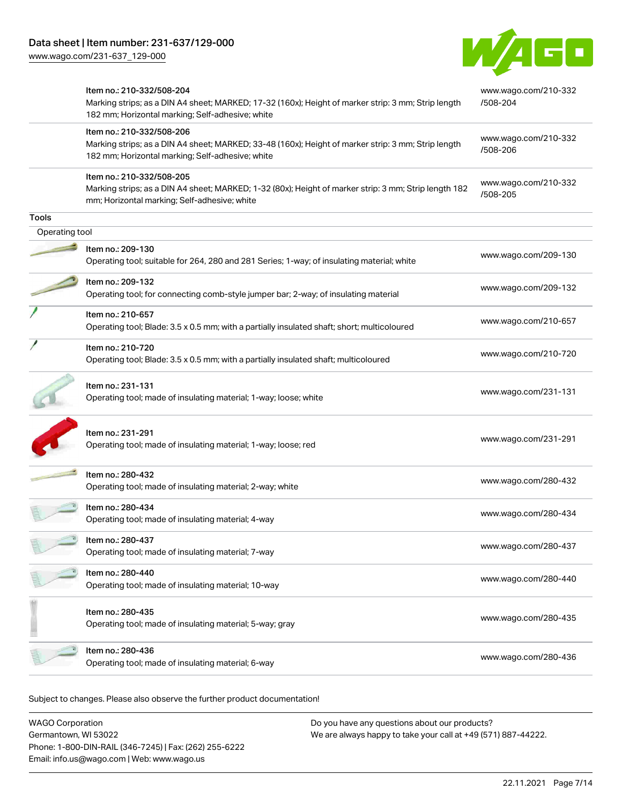[www.wago.com/231-637\\_129-000](http://www.wago.com/231-637_129-000)



|                | Item no.: 210-332/508-204<br>Marking strips; as a DIN A4 sheet; MARKED; 17-32 (160x); Height of marker strip: 3 mm; Strip length<br>182 mm; Horizontal marking; Self-adhesive; white | www.wago.com/210-332<br>/508-204 |
|----------------|--------------------------------------------------------------------------------------------------------------------------------------------------------------------------------------|----------------------------------|
|                | Item no.: 210-332/508-206<br>Marking strips; as a DIN A4 sheet; MARKED; 33-48 (160x); Height of marker strip: 3 mm; Strip length<br>182 mm; Horizontal marking; Self-adhesive; white | www.wago.com/210-332<br>/508-206 |
|                | Item no.: 210-332/508-205<br>Marking strips; as a DIN A4 sheet; MARKED; 1-32 (80x); Height of marker strip: 3 mm; Strip length 182<br>mm; Horizontal marking; Self-adhesive; white   | www.wago.com/210-332<br>/508-205 |
| <b>Tools</b>   |                                                                                                                                                                                      |                                  |
| Operating tool |                                                                                                                                                                                      |                                  |
|                | Item no.: 209-130<br>Operating tool; suitable for 264, 280 and 281 Series; 1-way; of insulating material; white                                                                      | www.wago.com/209-130             |
|                | Item no.: 209-132<br>Operating tool; for connecting comb-style jumper bar; 2-way; of insulating material                                                                             | www.wago.com/209-132             |
|                | Item no.: 210-657<br>Operating tool; Blade: 3.5 x 0.5 mm; with a partially insulated shaft; short; multicoloured                                                                     | www.wago.com/210-657             |
|                | Item no.: 210-720<br>Operating tool; Blade: 3.5 x 0.5 mm; with a partially insulated shaft; multicoloured                                                                            | www.wago.com/210-720             |
|                | Item no.: 231-131<br>Operating tool; made of insulating material; 1-way; loose; white                                                                                                | www.wago.com/231-131             |
|                | Item no.: 231-291<br>Operating tool; made of insulating material; 1-way; loose; red                                                                                                  | www.wago.com/231-291             |
|                | Item no.: 280-432<br>Operating tool; made of insulating material; 2-way; white                                                                                                       | www.wago.com/280-432             |
|                | Item no.: 280-434<br>Operating tool; made of insulating material; 4-way                                                                                                              | www.wago.com/280-434             |
|                | Item no.: 280-437<br>Operating tool; made of insulating material; 7-way                                                                                                              | www.wago.com/280-437             |
|                | Item no.: 280-440<br>Operating tool; made of insulating material; 10-way                                                                                                             | www.wago.com/280-440             |
|                | Item no.: 280-435<br>Operating tool; made of insulating material; 5-way; gray                                                                                                        | www.wago.com/280-435             |
|                | Item no.: 280-436<br>Operating tool; made of insulating material; 6-way                                                                                                              | www.wago.com/280-436             |
|                |                                                                                                                                                                                      |                                  |

Subject to changes. Please also observe the further product documentation!

| <b>WAGO Corporation</b>                                | Do you have any questions about our products?                 |
|--------------------------------------------------------|---------------------------------------------------------------|
| Germantown, WI 53022                                   | We are always happy to take your call at +49 (571) 887-44222. |
| Phone: 1-800-DIN-RAIL (346-7245)   Fax: (262) 255-6222 |                                                               |
| Email: info.us@wago.com   Web: www.wago.us             |                                                               |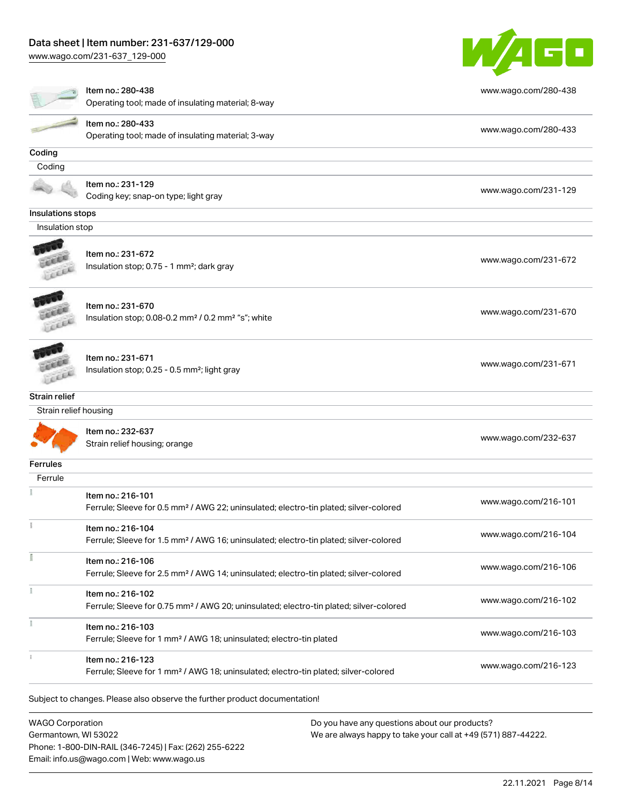[www.wago.com/231-637\\_129-000](http://www.wago.com/231-637_129-000)



|                                               | Item no.: 280-438<br>Operating tool; made of insulating material; 8-way                                                 | www.wago.com/280-438 |
|-----------------------------------------------|-------------------------------------------------------------------------------------------------------------------------|----------------------|
|                                               | Item no.: 280-433<br>Operating tool; made of insulating material; 3-way                                                 | www.wago.com/280-433 |
| Coding                                        |                                                                                                                         |                      |
| Coding                                        |                                                                                                                         |                      |
|                                               | Item no.: 231-129<br>Coding key; snap-on type; light gray                                                               | www.wago.com/231-129 |
| Insulations stops                             |                                                                                                                         |                      |
| Insulation stop                               |                                                                                                                         |                      |
| LEEL                                          | Item no.: 231-672<br>Insulation stop; 0.75 - 1 mm <sup>2</sup> ; dark gray                                              | www.wago.com/231-672 |
| Lecce                                         | Item no.: 231-670<br>Insulation stop; 0.08-0.2 mm <sup>2</sup> / 0.2 mm <sup>2</sup> "s"; white                         | www.wago.com/231-670 |
| <b>CERA</b>                                   | Item no.: 231-671<br>Insulation stop; 0.25 - 0.5 mm <sup>2</sup> ; light gray                                           | www.wago.com/231-671 |
| <b>Strain relief</b><br>Strain relief housing |                                                                                                                         |                      |
|                                               | Item no.: 232-637<br>Strain relief housing; orange                                                                      | www.wago.com/232-637 |
| Ferrules                                      |                                                                                                                         |                      |
| Ferrule                                       |                                                                                                                         |                      |
|                                               | Item no.: 216-101<br>Ferrule; Sleeve for 0.5 mm <sup>2</sup> / AWG 22; uninsulated; electro-tin plated; silver-colored  | www.wago.com/216-101 |
|                                               | Item no.: 216-104<br>Ferrule; Sleeve for 1.5 mm <sup>2</sup> / AWG 16; uninsulated; electro-tin plated; silver-colored  | www.wago.com/216-104 |
|                                               | Item no.: 216-106<br>Ferrule; Sleeve for 2.5 mm <sup>2</sup> / AWG 14; uninsulated; electro-tin plated; silver-colored  | www.wago.com/216-106 |
|                                               | Item no.: 216-102<br>Ferrule; Sleeve for 0.75 mm <sup>2</sup> / AWG 20; uninsulated; electro-tin plated; silver-colored | www.wago.com/216-102 |
|                                               | Item no.: 216-103                                                                                                       |                      |
|                                               | Ferrule; Sleeve for 1 mm <sup>2</sup> / AWG 18; uninsulated; electro-tin plated                                         | www.wago.com/216-103 |

WAGO Corporation Germantown, WI 53022 Phone: 1-800-DIN-RAIL (346-7245) | Fax: (262) 255-6222 Email: info.us@wago.com | Web: www.wago.us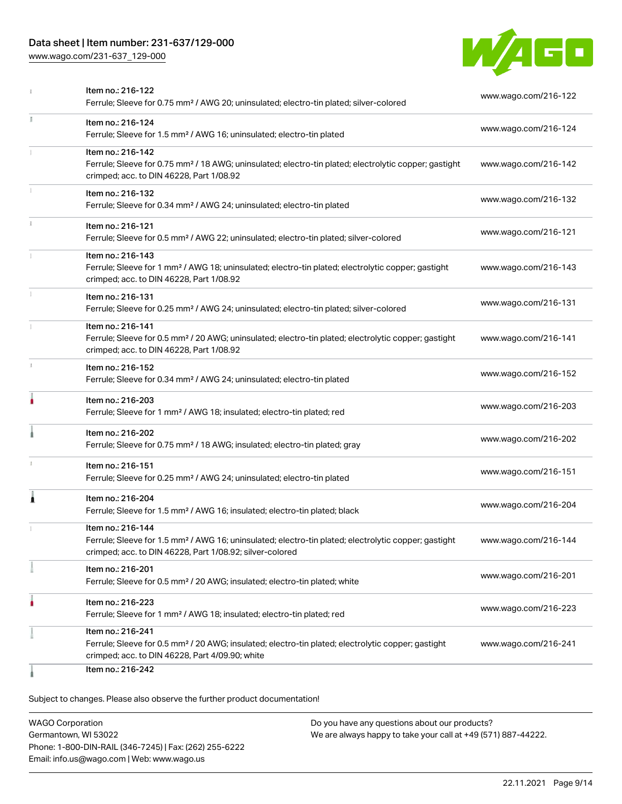[www.wago.com/231-637\\_129-000](http://www.wago.com/231-637_129-000)



| www.wago.com/216-122 |
|----------------------|
| www.wago.com/216-124 |
| www.wago.com/216-142 |
| www.wago.com/216-132 |
| www.wago.com/216-121 |
| www.wago.com/216-143 |
| www.wago.com/216-131 |
| www.wago.com/216-141 |
| www.wago.com/216-152 |
| www.wago.com/216-203 |
| www.wago.com/216-202 |
| www.wago.com/216-151 |
| www.wago.com/216-204 |
| www.wago.com/216-144 |
| www.wago.com/216-201 |
| www.wago.com/216-223 |
|                      |
|                      |

Subject to changes. Please also observe the further product documentation!

WAGO Corporation Germantown, WI 53022 Phone: 1-800-DIN-RAIL (346-7245) | Fax: (262) 255-6222 Email: info.us@wago.com | Web: www.wago.us Do you have any questions about our products? We are always happy to take your call at +49 (571) 887-44222.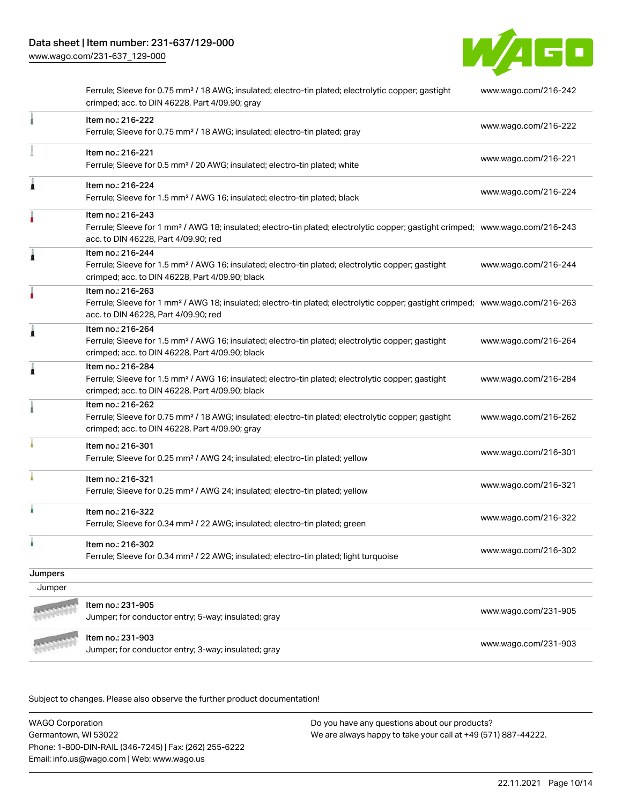[www.wago.com/231-637\\_129-000](http://www.wago.com/231-637_129-000)



|         | Ferrule; Sleeve for 0.75 mm <sup>2</sup> / 18 AWG; insulated; electro-tin plated; electrolytic copper; gastight<br>crimped; acc. to DIN 46228, Part 4/09.90; gray                                       | www.wago.com/216-242 |
|---------|---------------------------------------------------------------------------------------------------------------------------------------------------------------------------------------------------------|----------------------|
|         | Item no.: 216-222<br>Ferrule; Sleeve for 0.75 mm <sup>2</sup> / 18 AWG; insulated; electro-tin plated; gray                                                                                             | www.wago.com/216-222 |
|         | Item no.: 216-221<br>Ferrule; Sleeve for 0.5 mm <sup>2</sup> / 20 AWG; insulated; electro-tin plated; white                                                                                             | www.wago.com/216-221 |
| Â       | Item no.: 216-224<br>Ferrule; Sleeve for 1.5 mm <sup>2</sup> / AWG 16; insulated; electro-tin plated; black                                                                                             | www.wago.com/216-224 |
|         | Item no.: 216-243<br>Ferrule; Sleeve for 1 mm <sup>2</sup> / AWG 18; insulated; electro-tin plated; electrolytic copper; gastight crimped; www.wago.com/216-243<br>acc. to DIN 46228, Part 4/09.90; red |                      |
| Â       | Item no.: 216-244<br>Ferrule; Sleeve for 1.5 mm <sup>2</sup> / AWG 16; insulated; electro-tin plated; electrolytic copper; gastight<br>crimped; acc. to DIN 46228, Part 4/09.90; black                  | www.wago.com/216-244 |
|         | Item no.: 216-263<br>Ferrule; Sleeve for 1 mm <sup>2</sup> / AWG 18; insulated; electro-tin plated; electrolytic copper; gastight crimped; www.wago.com/216-263<br>acc. to DIN 46228, Part 4/09.90; red |                      |
| Â       | Item no.: 216-264<br>Ferrule; Sleeve for 1.5 mm <sup>2</sup> / AWG 16; insulated; electro-tin plated; electrolytic copper; gastight<br>crimped; acc. to DIN 46228, Part 4/09.90; black                  | www.wago.com/216-264 |
| Â       | Item no.: 216-284<br>Ferrule; Sleeve for 1.5 mm <sup>2</sup> / AWG 16; insulated; electro-tin plated; electrolytic copper; gastight<br>crimped; acc. to DIN 46228, Part 4/09.90; black                  | www.wago.com/216-284 |
|         | Item no.: 216-262<br>Ferrule; Sleeve for 0.75 mm <sup>2</sup> / 18 AWG; insulated; electro-tin plated; electrolytic copper; gastight<br>crimped; acc. to DIN 46228, Part 4/09.90; gray                  | www.wago.com/216-262 |
|         | Item no.: 216-301<br>Ferrule; Sleeve for 0.25 mm <sup>2</sup> / AWG 24; insulated; electro-tin plated; yellow                                                                                           | www.wago.com/216-301 |
|         | Item no.: 216-321<br>Ferrule; Sleeve for 0.25 mm <sup>2</sup> / AWG 24; insulated; electro-tin plated; yellow                                                                                           | www.wago.com/216-321 |
|         | Item no.: 216-322<br>Ferrule; Sleeve for 0.34 mm <sup>2</sup> / 22 AWG; insulated; electro-tin plated; green                                                                                            | www.wago.com/216-322 |
|         | Item no.: 216-302<br>Ferrule; Sleeve for 0.34 mm <sup>2</sup> / 22 AWG; insulated; electro-tin plated; light turquoise                                                                                  | www.wago.com/216-302 |
| Jumpers |                                                                                                                                                                                                         |                      |
| Jumper  |                                                                                                                                                                                                         |                      |
|         | Item no.: 231-905<br>Jumper; for conductor entry; 5-way; insulated; gray                                                                                                                                | www.wago.com/231-905 |
|         | Item no.: 231-903<br>Jumper; for conductor entry; 3-way; insulated; gray                                                                                                                                | www.wago.com/231-903 |
|         |                                                                                                                                                                                                         |                      |

Subject to changes. Please also observe the further product documentation!

WAGO Corporation Germantown, WI 53022 Phone: 1-800-DIN-RAIL (346-7245) | Fax: (262) 255-6222 Email: info.us@wago.com | Web: www.wago.us Do you have any questions about our products? We are always happy to take your call at +49 (571) 887-44222.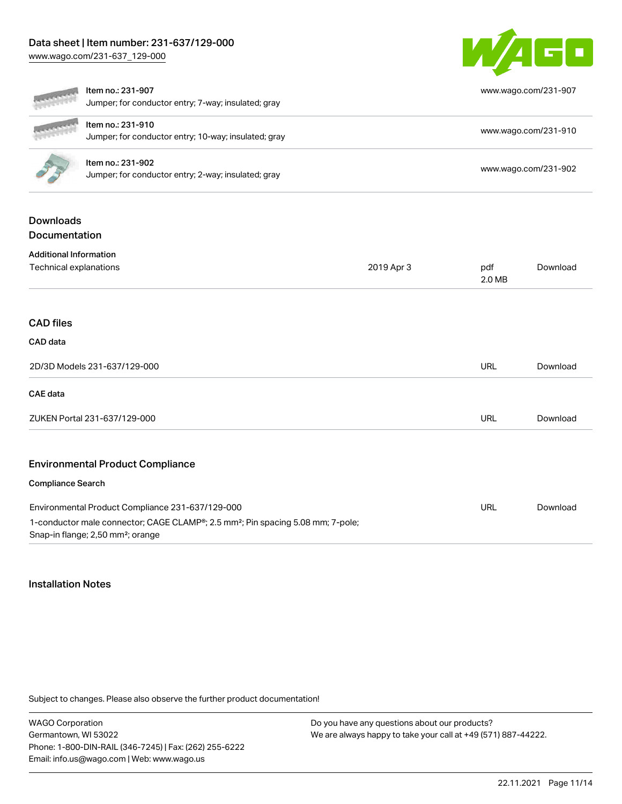[www.wago.com/231-637\\_129-000](http://www.wago.com/231-637_129-000)



|                                   | Item no.: 231-907<br>Jumper; for conductor entry; 7-way; insulated; gray                                                                                                                                      |            |               | www.wago.com/231-907 |
|-----------------------------------|---------------------------------------------------------------------------------------------------------------------------------------------------------------------------------------------------------------|------------|---------------|----------------------|
|                                   | Item no.: 231-910<br>Jumper; for conductor entry; 10-way; insulated; gray                                                                                                                                     |            |               | www.wago.com/231-910 |
|                                   | Item no.: 231-902<br>Jumper; for conductor entry; 2-way; insulated; gray                                                                                                                                      |            |               | www.wago.com/231-902 |
| <b>Downloads</b><br>Documentation |                                                                                                                                                                                                               |            |               |                      |
| <b>Additional Information</b>     |                                                                                                                                                                                                               |            |               |                      |
| Technical explanations            |                                                                                                                                                                                                               | 2019 Apr 3 | pdf<br>2.0 MB | Download             |
| <b>CAD</b> files<br>CAD data      |                                                                                                                                                                                                               |            |               |                      |
|                                   | 2D/3D Models 231-637/129-000                                                                                                                                                                                  |            | <b>URL</b>    | Download             |
| <b>CAE</b> data                   |                                                                                                                                                                                                               |            |               |                      |
|                                   | ZUKEN Portal 231-637/129-000                                                                                                                                                                                  |            | <b>URL</b>    | Download             |
|                                   | <b>Environmental Product Compliance</b>                                                                                                                                                                       |            |               |                      |
| <b>Compliance Search</b>          |                                                                                                                                                                                                               |            |               |                      |
|                                   | Environmental Product Compliance 231-637/129-000<br>1-conductor male connector; CAGE CLAMP <sup>®</sup> ; 2.5 mm <sup>2</sup> ; Pin spacing 5.08 mm; 7-pole;<br>Snap-in flange; 2,50 mm <sup>2</sup> ; orange |            | <b>URL</b>    | Download             |

# Installation Notes

Subject to changes. Please also observe the further product documentation!

WAGO Corporation Germantown, WI 53022 Phone: 1-800-DIN-RAIL (346-7245) | Fax: (262) 255-6222 Email: info.us@wago.com | Web: www.wago.us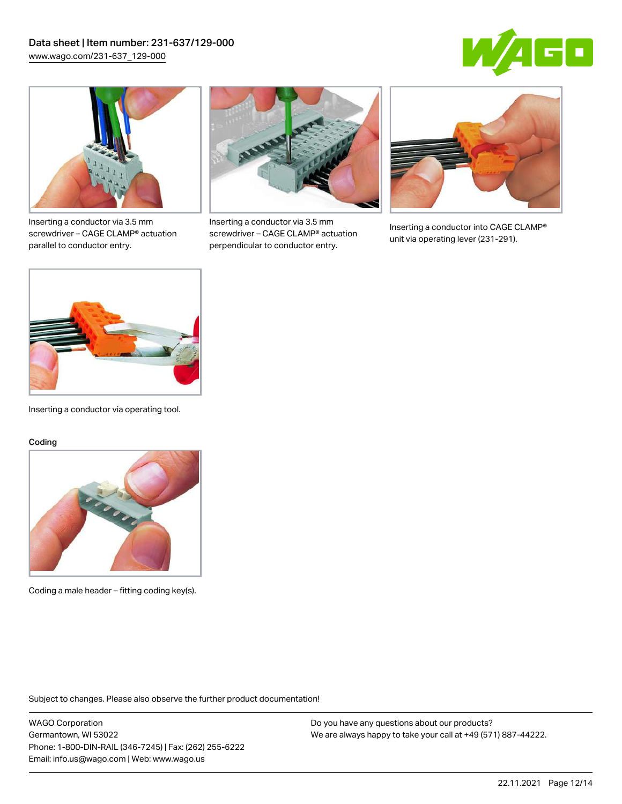



Inserting a conductor via 3.5 mm screwdriver – CAGE CLAMP® actuation parallel to conductor entry.



Inserting a conductor via 3.5 mm screwdriver – CAGE CLAMP® actuation perpendicular to conductor entry.



Inserting a conductor into CAGE CLAMP® unit via operating lever (231-291).



Inserting a conductor via operating tool.

#### Coding



Coding a male header – fitting coding key(s).

Subject to changes. Please also observe the further product documentation!

WAGO Corporation Germantown, WI 53022 Phone: 1-800-DIN-RAIL (346-7245) | Fax: (262) 255-6222 Email: info.us@wago.com | Web: www.wago.us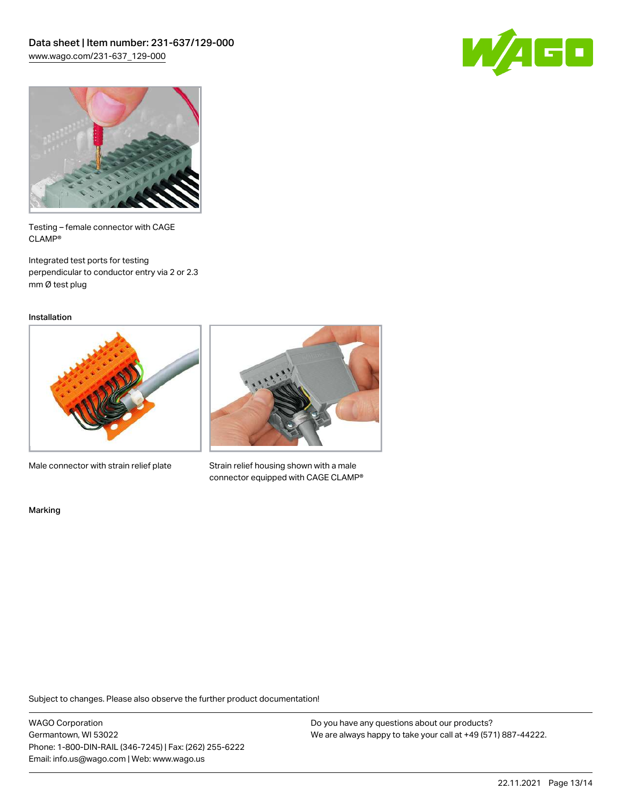



Testing – female connector with CAGE CLAMP®

Integrated test ports for testing perpendicular to conductor entry via 2 or 2.3 mm Ø test plug

Installation



Male connector with strain relief plate



Strain relief housing shown with a male connector equipped with CAGE CLAMP®

Marking

Subject to changes. Please also observe the further product documentation!

WAGO Corporation Germantown, WI 53022 Phone: 1-800-DIN-RAIL (346-7245) | Fax: (262) 255-6222 Email: info.us@wago.com | Web: www.wago.us